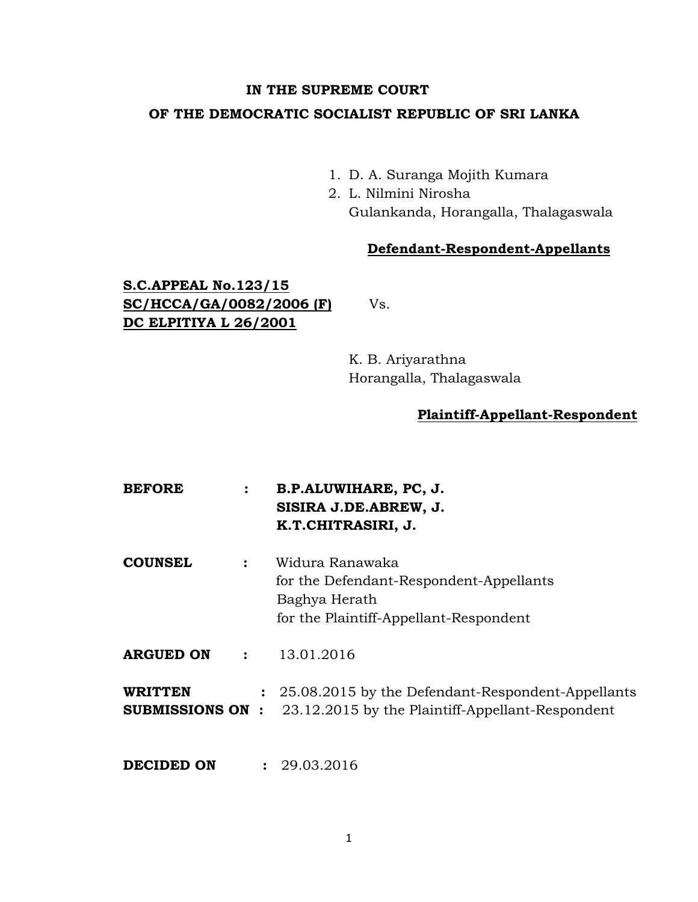# **IN THE SUPREME COURT OF THE DEMOCRATIC SOCIALIST REPUBLIC OF SRI LANKA**

- 1. D. A. Suranga Mojith Kumara
- 2. L. Nilmini Nirosha Gulankanda, Horangalla, Thalagaswala

## **Defendant-Respondent-Appellants**

## **S.C.APPEAL No.123/15 SC/HCCA/GA/0082/2006 (F)** Vs. **DC ELPITIYA L 26/2001**

K. B. Ariyarathna Horangalla, Thalagaswala

### **Plaintiff-Appellant-Respondent**

**BEFORE : B.P.ALUWIHARE, PC, J. SISIRA J.DE.ABREW, J. K.T.CHITRASIRI, J. COUNSEL :** Widura Ranawaka for the Defendant-Respondent-Appellants Baghya Herath for the Plaintiff-Appellant-Respondent **ARGUED ON :** 13.01.2016 **WRITTEN :** 25.08.2015 by the Defendant-Respondent-Appellants **SUBMISSIONS ON :** 23.12.2015 by the Plaintiff-Appellant-Respondent **DECIDED ON : 29.03.2016**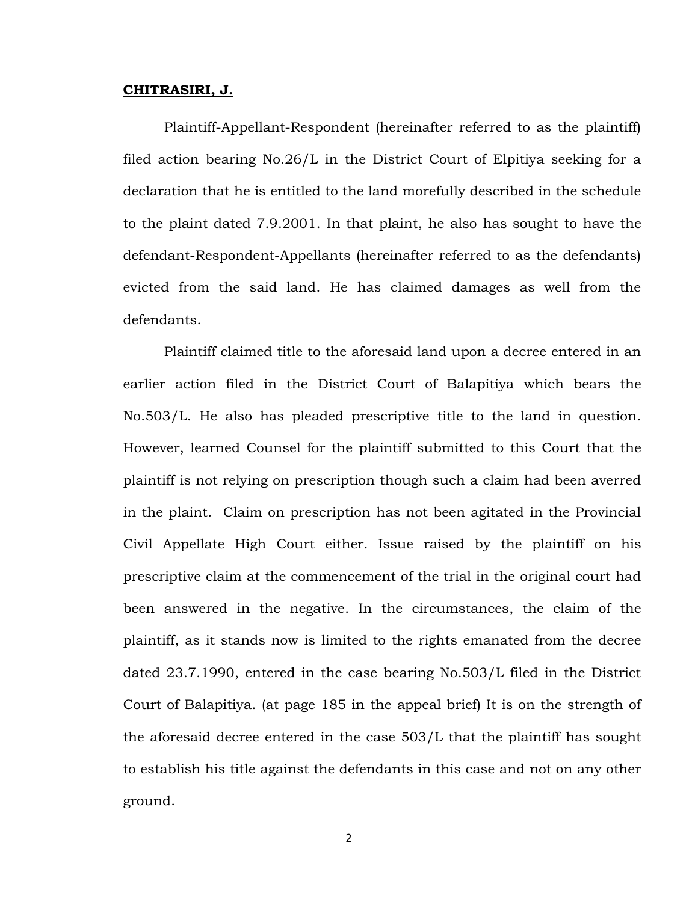#### **CHITRASIRI, J.**

Plaintiff-Appellant-Respondent (hereinafter referred to as the plaintiff) filed action bearing No.26/L in the District Court of Elpitiya seeking for a declaration that he is entitled to the land morefully described in the schedule to the plaint dated 7.9.2001. In that plaint, he also has sought to have the defendant-Respondent-Appellants (hereinafter referred to as the defendants) evicted from the said land. He has claimed damages as well from the defendants.

Plaintiff claimed title to the aforesaid land upon a decree entered in an earlier action filed in the District Court of Balapitiya which bears the No.503/L. He also has pleaded prescriptive title to the land in question. However, learned Counsel for the plaintiff submitted to this Court that the plaintiff is not relying on prescription though such a claim had been averred in the plaint. Claim on prescription has not been agitated in the Provincial Civil Appellate High Court either. Issue raised by the plaintiff on his prescriptive claim at the commencement of the trial in the original court had been answered in the negative. In the circumstances, the claim of the plaintiff, as it stands now is limited to the rights emanated from the decree dated 23.7.1990, entered in the case bearing No.503/L filed in the District Court of Balapitiya. (at page 185 in the appeal brief) It is on the strength of the aforesaid decree entered in the case 503/L that the plaintiff has sought to establish his title against the defendants in this case and not on any other ground.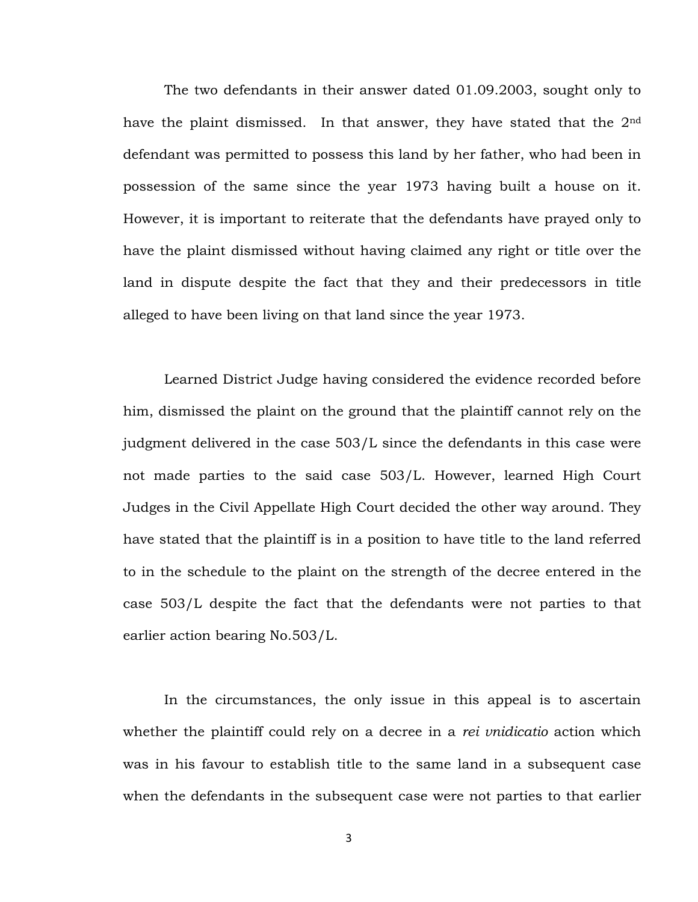The two defendants in their answer dated 01.09.2003, sought only to have the plaint dismissed. In that answer, they have stated that the  $2<sup>nd</sup>$ defendant was permitted to possess this land by her father, who had been in possession of the same since the year 1973 having built a house on it. However, it is important to reiterate that the defendants have prayed only to have the plaint dismissed without having claimed any right or title over the land in dispute despite the fact that they and their predecessors in title alleged to have been living on that land since the year 1973.

Learned District Judge having considered the evidence recorded before him, dismissed the plaint on the ground that the plaintiff cannot rely on the judgment delivered in the case 503/L since the defendants in this case were not made parties to the said case 503/L. However, learned High Court Judges in the Civil Appellate High Court decided the other way around. They have stated that the plaintiff is in a position to have title to the land referred to in the schedule to the plaint on the strength of the decree entered in the case 503/L despite the fact that the defendants were not parties to that earlier action bearing No.503/L.

In the circumstances, the only issue in this appeal is to ascertain whether the plaintiff could rely on a decree in a *rei vnidicatio* action which was in his favour to establish title to the same land in a subsequent case when the defendants in the subsequent case were not parties to that earlier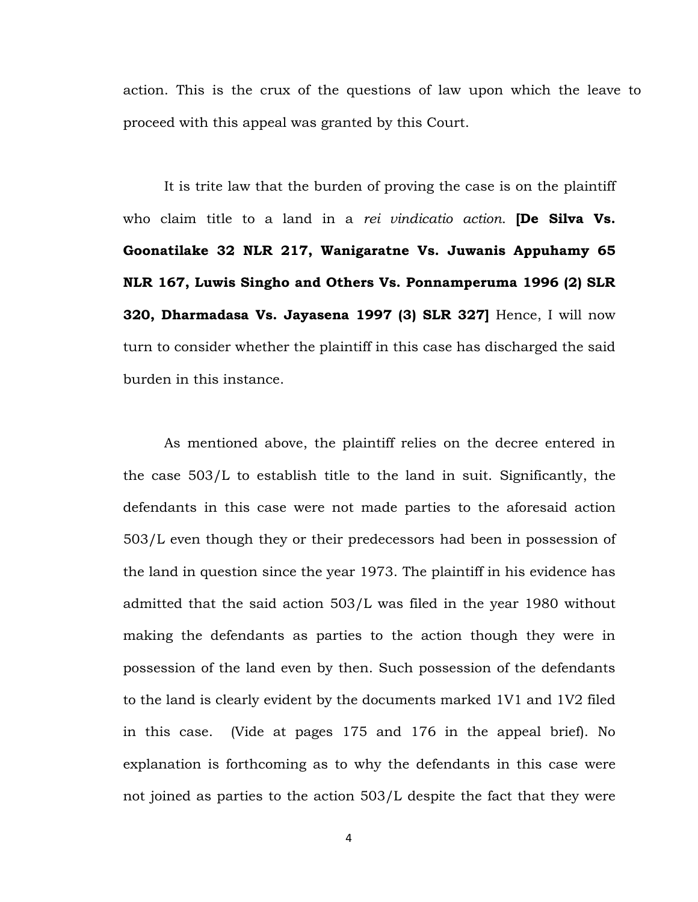action. This is the crux of the questions of law upon which the leave to proceed with this appeal was granted by this Court.

It is trite law that the burden of proving the case is on the plaintiff who claim title to a land in a *rei vindicatio action*. **[De Silva Vs. Goonatilake 32 NLR 217, Wanigaratne Vs. Juwanis Appuhamy 65 NLR 167, Luwis Singho and Others Vs. Ponnamperuma 1996 (2) SLR 320, Dharmadasa Vs. Jayasena 1997 (3) SLR 327]** Hence, I will now turn to consider whether the plaintiff in this case has discharged the said burden in this instance.

As mentioned above, the plaintiff relies on the decree entered in the case 503/L to establish title to the land in suit. Significantly, the defendants in this case were not made parties to the aforesaid action 503/L even though they or their predecessors had been in possession of the land in question since the year 1973. The plaintiff in his evidence has admitted that the said action 503/L was filed in the year 1980 without making the defendants as parties to the action though they were in possession of the land even by then. Such possession of the defendants to the land is clearly evident by the documents marked 1V1 and 1V2 filed in this case. (Vide at pages 175 and 176 in the appeal brief). No explanation is forthcoming as to why the defendants in this case were not joined as parties to the action 503/L despite the fact that they were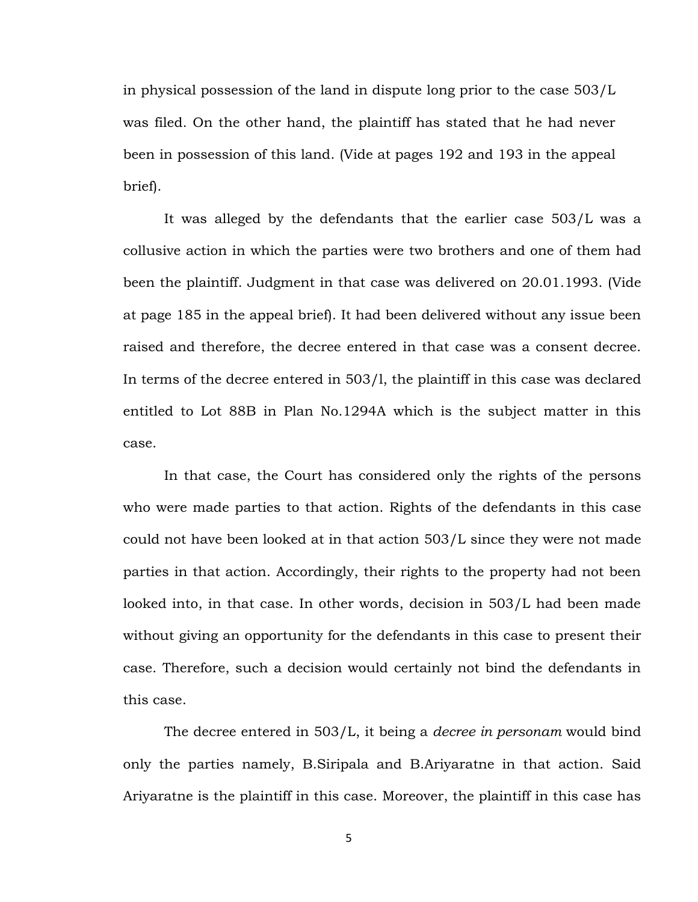in physical possession of the land in dispute long prior to the case 503/L was filed. On the other hand, the plaintiff has stated that he had never been in possession of this land. (Vide at pages 192 and 193 in the appeal brief).

It was alleged by the defendants that the earlier case 503/L was a collusive action in which the parties were two brothers and one of them had been the plaintiff. Judgment in that case was delivered on 20.01.1993. (Vide at page 185 in the appeal brief). It had been delivered without any issue been raised and therefore, the decree entered in that case was a consent decree. In terms of the decree entered in 503/l, the plaintiff in this case was declared entitled to Lot 88B in Plan No.1294A which is the subject matter in this case.

In that case, the Court has considered only the rights of the persons who were made parties to that action. Rights of the defendants in this case could not have been looked at in that action 503/L since they were not made parties in that action. Accordingly, their rights to the property had not been looked into, in that case. In other words, decision in 503/L had been made without giving an opportunity for the defendants in this case to present their case. Therefore, such a decision would certainly not bind the defendants in this case.

The decree entered in 503/L, it being a *decree in personam* would bind only the parties namely, B.Siripala and B.Ariyaratne in that action. Said Ariyaratne is the plaintiff in this case. Moreover, the plaintiff in this case has

5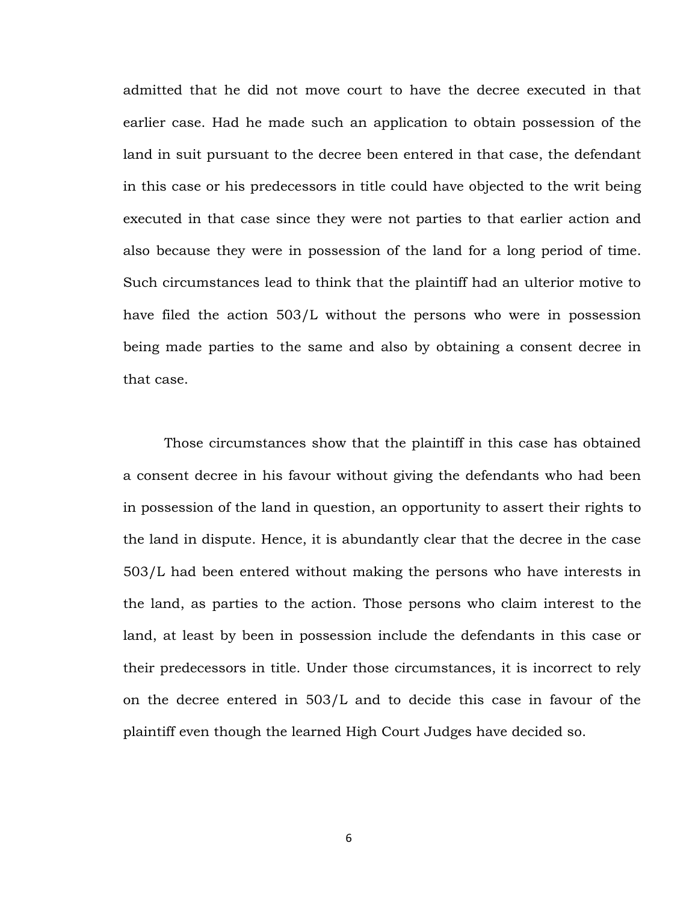admitted that he did not move court to have the decree executed in that earlier case. Had he made such an application to obtain possession of the land in suit pursuant to the decree been entered in that case, the defendant in this case or his predecessors in title could have objected to the writ being executed in that case since they were not parties to that earlier action and also because they were in possession of the land for a long period of time. Such circumstances lead to think that the plaintiff had an ulterior motive to have filed the action 503/L without the persons who were in possession being made parties to the same and also by obtaining a consent decree in that case.

Those circumstances show that the plaintiff in this case has obtained a consent decree in his favour without giving the defendants who had been in possession of the land in question, an opportunity to assert their rights to the land in dispute. Hence, it is abundantly clear that the decree in the case 503/L had been entered without making the persons who have interests in the land, as parties to the action. Those persons who claim interest to the land, at least by been in possession include the defendants in this case or their predecessors in title. Under those circumstances, it is incorrect to rely on the decree entered in 503/L and to decide this case in favour of the plaintiff even though the learned High Court Judges have decided so.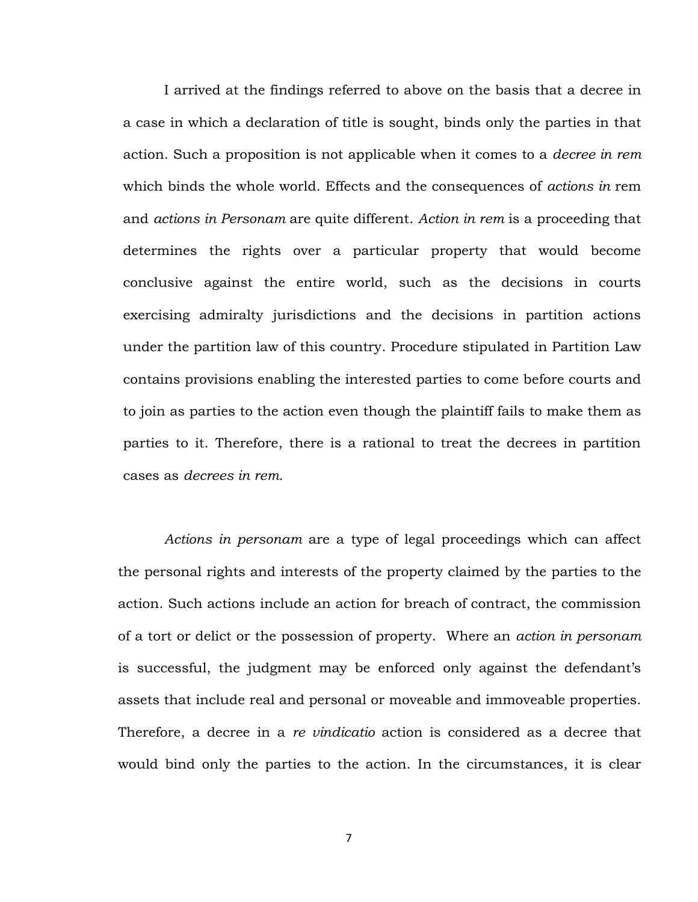I arrived at the findings referred to above on the basis that a decree in a case in which a declaration of title is sought, binds only the parties in that action. Such a proposition is not applicable when it comes to a *decree in rem*  which binds the whole world. Effects and the consequences of *actions in* rem and *actions in Personam* are quite different. *Action in rem* is a proceeding that determines the rights over a particular property that would become conclusive against the entire world, such as the decisions in courts exercising admiralty jurisdictions and the decisions in partition actions under the partition law of this country. Procedure stipulated in Partition Law contains provisions enabling the interested parties to come before courts and to join as parties to the action even though the plaintiff fails to make them as parties to it. Therefore, there is a rational to treat the decrees in partition cases as *decrees in rem*.

*Actions in personam* are a type of legal proceedings which can affect the personal rights and interests of the property claimed by the parties to the action. Such actions include an action for breach of contract, the commission of a tort or delict or the possession of property. Where an *action in personam* is successful, the judgment may be enforced only against the defendant's assets that include real and personal or moveable and immoveable properties. Therefore, a decree in a *re vindicatio* action is considered as a decree that would bind only the parties to the action. In the circumstances, it is clear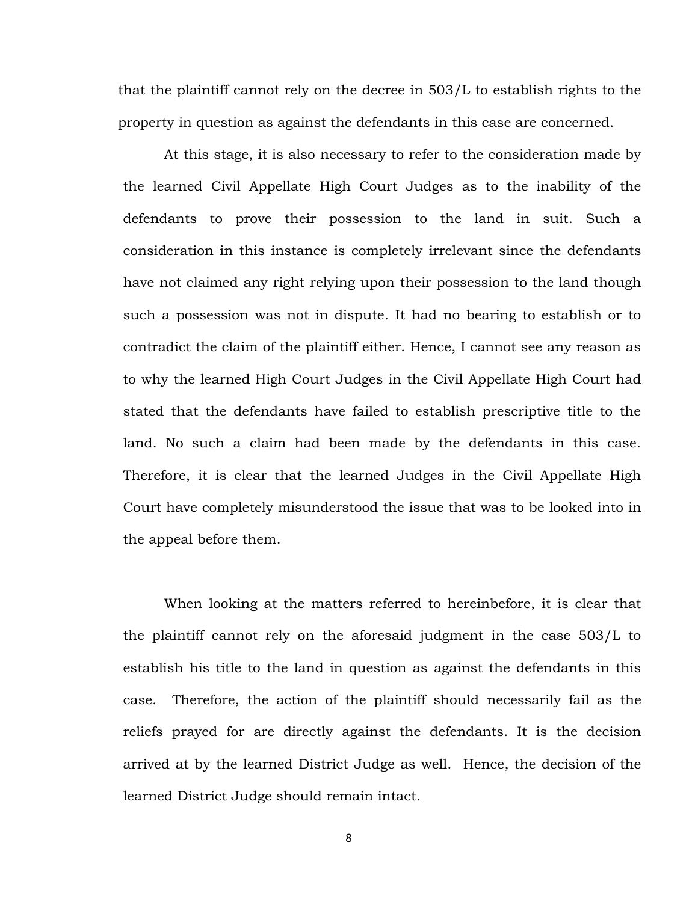that the plaintiff cannot rely on the decree in 503/L to establish rights to the property in question as against the defendants in this case are concerned.

At this stage, it is also necessary to refer to the consideration made by the learned Civil Appellate High Court Judges as to the inability of the defendants to prove their possession to the land in suit. Such a consideration in this instance is completely irrelevant since the defendants have not claimed any right relying upon their possession to the land though such a possession was not in dispute. It had no bearing to establish or to contradict the claim of the plaintiff either. Hence, I cannot see any reason as to why the learned High Court Judges in the Civil Appellate High Court had stated that the defendants have failed to establish prescriptive title to the land. No such a claim had been made by the defendants in this case. Therefore, it is clear that the learned Judges in the Civil Appellate High Court have completely misunderstood the issue that was to be looked into in the appeal before them.

When looking at the matters referred to hereinbefore, it is clear that the plaintiff cannot rely on the aforesaid judgment in the case 503/L to establish his title to the land in question as against the defendants in this case. Therefore, the action of the plaintiff should necessarily fail as the reliefs prayed for are directly against the defendants. It is the decision arrived at by the learned District Judge as well. Hence, the decision of the learned District Judge should remain intact.

8